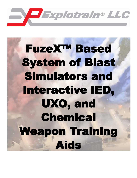

# FuzeX™ Based System of Blast Simulators and Interactive IED, UXO, and Chemical Weapon Training Aids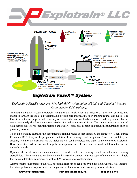



# Explotrain FuzeX™ System

### *Explotrain's FuzeX system provides high fidelity simulation of UXO and Chemical Weapon Ordnance for EOD training.*

Explotrain's FuzeX system accurately simulates the sensitivities and safeties of a variety of fuzes and ordnance through the use of a programmable circuit board inserted into inert training rounds and fuzes. The FuzeX circuitry is equipped with a variety of sensors that are wirelessly monitored and programmed by the user to accurately simulate the various safeties of a real ordnance and fuze. The training round can be used with inerted fuzes for recognition training and FuzeX+ fuzes that contain additional instrumentation such as proximity sensors.

To begin a training exercise, the instrumented training round is first armed by the instructor. Then, during Recon and RSP, if any of the programmed safeties of the training round or optional FuzeX+ are violated, the circuitry will alert the instructor via the tablet and will send a wireless Fire signal to any connected Explotrain Blast Simulator. All sensor level outputs are displayed in real time then recorded and formatted for the trainee's records.

Optional chemical weapon simulants can be inserted into the training round for additional training capabilities. These simulants can be intentionally leaked if desired. Various types of simulants are available for use with detection equipment as well as UV inspection for contamination.

After the trainee has prepared the RSP, the initial fuze can be replaced by a Shootable Fuze that will indicate the actual path of a disruption shot for comparison with cutaway models or images for evaluation.

www.explotrain.com Fort Walton Beach, FL (850) 862-5344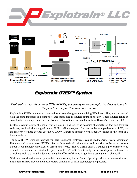



# Explotrain IFIED™ System

### *Explotrain's Inert Functional IEDs (IFIEDs) accurately represent explosive devices found in the field in form, function, and construction*

Explotrain's IFIEDs are used to train against an ever changing and evolving IED threat. They are constructed with the same materials and using the same techniques as devices found in theater. These devices range in complexity from simple mail or letter bombs to that of the extortion device from Harvey's Casino in 1980.

Custom circuitry allows the use of various arming and triggering sensors: photocells, contact and trembler switches, mechanical and digital timers, PMRs, cell phones, etc. Outputs can be a simple buzzer or LED, but the majority of these devices use the X-CAP™ System to interface with a penalty device in the form of a blast simulator.

The X-WIIFE™ (Wireless Interface for Inert Functional Explosives) can be used to Arm, Disarm, Command Detonate, and monitor most IFIEDs. Sensor thresholds of both duration and intensity can be set and sensor output is continuously displayed on screen and stored. The X-WIIFE allows a trainee's performance to be evaluated or examined in detail rather just a simple Go/No-Go Additionally, the sensor display can be used as a teaching tool , e.g. visually demonstrating the effects of shining a light into a casing with a photocell.

With real world and accurately simulated components, but no "out of play" penalties or command wires, Explotrain IFIEDs provide the most accurate simulation of IEDs technologically possible.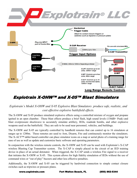

# Explotrain X-OHW™ and X-05™ Blast Simulators

### *Explotrain's Model X-OHW and X-05 Explosive Blast Simulators produce safe, realistic, and cost effective explosive battlefield effects.*

The X-OHW and X-05 produce simulated explosive effects using a controlled mixture of oxygen and propane ignited in an open chamber. These blast effects produce a brief flash, high sound levels (130dB+ Peak) and blast overpressure shockwave to accurately simulate artillery, IEDs, roadside bombs, and other explosive weapons used on the battlefield. They are safe to be used near personnel, vehicles, and buildings.

The X-OHW and X-05 are typically controlled by handheld remotes that can control up to 16 simulators at ranges up to 1200m. These remotes are used to Arm, Disarm, Fire and continuously monitor the simulators. The X-ACT™ tablet based controller can place simulator icons on a map or aerial photo of a training range for ease of use as well as update and customize basic software and operating parameters.

In conjunction with the wireless remote controls, the X-OHW and X-05 can be used with Explotrain's X-CAP wireless Blasting Cap Transmitter system. The X-CAP is simply placed in the circuit of an IED training device in place of an actual detonator. When triggered, the X-CAP sends a wireless Fire signal to a receiver that initiates the X-OHW or X-05. This system allows for high fidelity simulation of IEDs without the use of command wires or "out of play" buzzers and other less effective penalties.

Additionally, the X-OHW and X-05 can be triggered by hardwired connection to simple contact closure switches such as tripwires or pressure plates.

www.explotrain.com Fort Walton Beach, FL (850) 862-5344